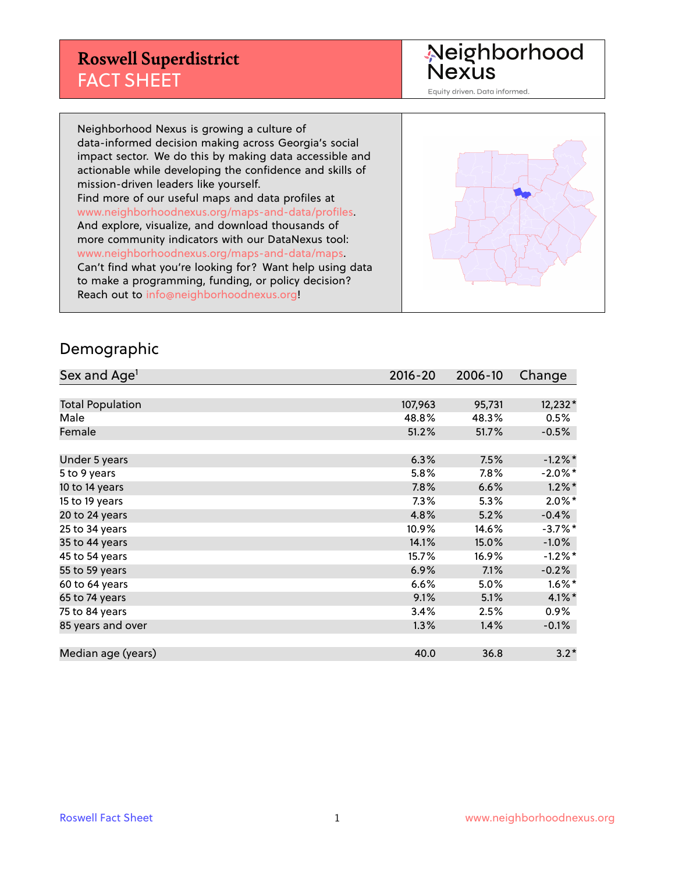Neighborhood<br>Nexus

Equity driven. Data informed.

Neighborhood Nexus is growing a culture of data-informed decision making across Georgia's social impact sector. We do this by making data accessible and actionable while developing the confidence and skills of mission-driven leaders like yourself. Find more of our useful maps and data profiles at www.neighborhoodnexus.org/maps-and-data/profiles. And explore, visualize, and download thousands of more community indicators with our DataNexus tool: www.neighborhoodnexus.org/maps-and-data/maps. Can't find what you're looking for? Want help using data to make a programming, funding, or policy decision? Reach out to [info@neighborhoodnexus.org!](mailto:info@neighborhoodnexus.org)



#### Demographic

| Sex and Age <sup>1</sup> | $2016 - 20$ | 2006-10 | Change     |
|--------------------------|-------------|---------|------------|
|                          |             |         |            |
| <b>Total Population</b>  | 107,963     | 95,731  | 12,232*    |
| Male                     | 48.8%       | 48.3%   | 0.5%       |
| Female                   | 51.2%       | 51.7%   | $-0.5%$    |
|                          |             |         |            |
| Under 5 years            | 6.3%        | 7.5%    | $-1.2\%$ * |
| 5 to 9 years             | 5.8%        | $7.8\%$ | $-2.0\%$ * |
| 10 to 14 years           | 7.8%        | 6.6%    | $1.2\%$ *  |
| 15 to 19 years           | 7.3%        | 5.3%    | $2.0\%$ *  |
| 20 to 24 years           | 4.8%        | 5.2%    | $-0.4%$    |
| 25 to 34 years           | 10.9%       | 14.6%   | $-3.7%$ *  |
| 35 to 44 years           | 14.1%       | 15.0%   | $-1.0%$    |
| 45 to 54 years           | 15.7%       | 16.9%   | $-1.2%$ *  |
| 55 to 59 years           | 6.9%        | 7.1%    | $-0.2%$    |
| 60 to 64 years           | 6.6%        | 5.0%    | $1.6\%$ *  |
| 65 to 74 years           | 9.1%        | 5.1%    | $4.1\%$ *  |
| 75 to 84 years           | 3.4%        | 2.5%    | $0.9\%$    |
| 85 years and over        | 1.3%        | 1.4%    | $-0.1\%$   |
|                          |             |         |            |
| Median age (years)       | 40.0        | 36.8    | $3.2*$     |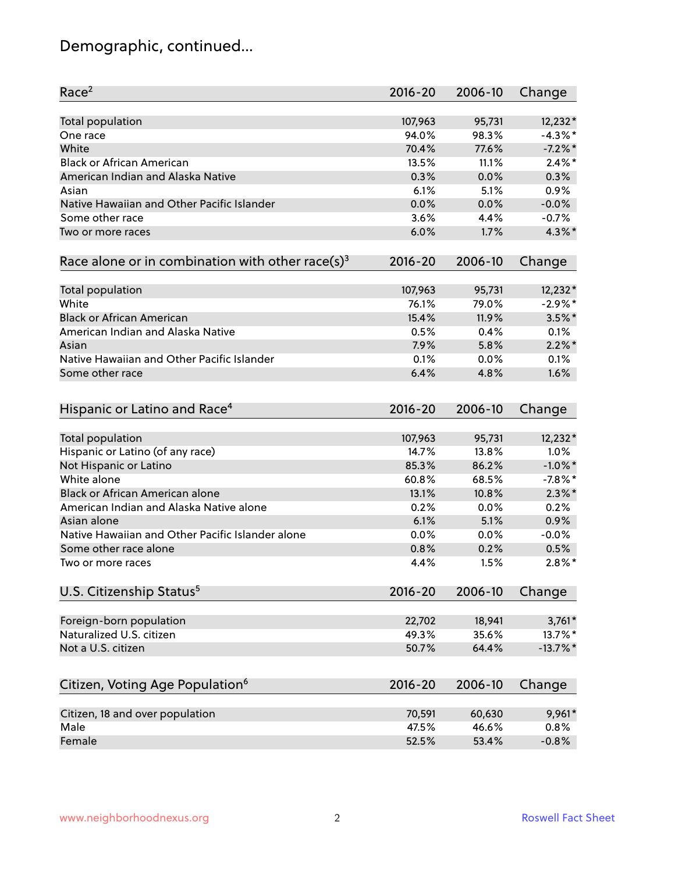# Demographic, continued...

| Race <sup>2</sup>                                            | $2016 - 20$  | 2006-10      | Change            |
|--------------------------------------------------------------|--------------|--------------|-------------------|
| <b>Total population</b>                                      | 107,963      | 95,731       | $12,232*$         |
| One race                                                     | 94.0%        | 98.3%        | $-4.3\%$ *        |
| White                                                        | 70.4%        | 77.6%        | $-7.2%$ *         |
| <b>Black or African American</b>                             | 13.5%        | 11.1%        | $2.4\%$ *         |
| American Indian and Alaska Native                            | 0.3%         | 0.0%         | 0.3%              |
| Asian                                                        | 6.1%         | 5.1%         | 0.9%              |
| Native Hawaiian and Other Pacific Islander                   | 0.0%         | 0.0%         | $-0.0%$           |
| Some other race                                              | 3.6%         | 4.4%         | $-0.7%$           |
| Two or more races                                            | 6.0%         | 1.7%         | 4.3%*             |
| Race alone or in combination with other race(s) <sup>3</sup> | $2016 - 20$  | 2006-10      | Change            |
|                                                              |              |              |                   |
| Total population                                             | 107,963      | 95,731       | $12,232*$         |
| White                                                        | 76.1%        | 79.0%        | $-2.9%$ *         |
| <b>Black or African American</b>                             | 15.4%        | 11.9%        | $3.5\%$ *         |
| American Indian and Alaska Native                            | 0.5%         | 0.4%         | 0.1%              |
| Asian                                                        | 7.9%         | 5.8%         | $2.2\%$ *         |
| Native Hawaiian and Other Pacific Islander                   | 0.1%         | 0.0%         | 0.1%              |
| Some other race                                              | 6.4%         | 4.8%         | 1.6%              |
| Hispanic or Latino and Race <sup>4</sup>                     | $2016 - 20$  | 2006-10      | Change            |
| Total population                                             | 107,963      | 95,731       | 12,232*           |
| Hispanic or Latino (of any race)                             | 14.7%        | 13.8%        | 1.0%              |
| Not Hispanic or Latino                                       | 85.3%        | 86.2%        | $-1.0\%$ *        |
| White alone                                                  | 60.8%        | 68.5%        | $-7.8\%$ *        |
| <b>Black or African American alone</b>                       | 13.1%        | 10.8%        | $2.3\%$ *         |
| American Indian and Alaska Native alone                      | 0.2%         | 0.0%         | 0.2%              |
| Asian alone                                                  | 6.1%         | 5.1%         | 0.9%              |
|                                                              |              |              |                   |
| Native Hawaiian and Other Pacific Islander alone             | 0.0%         | 0.0%         | $-0.0%$           |
| Some other race alone<br>Two or more races                   | 0.8%<br>4.4% | 0.2%<br>1.5% | 0.5%<br>$2.8\%$ * |
|                                                              |              |              |                   |
| U.S. Citizenship Status <sup>5</sup>                         | $2016 - 20$  | 2006-10      | Change            |
| Foreign-born population                                      | 22,702       | 18,941       | $3,761*$          |
| Naturalized U.S. citizen                                     | 49.3%        | 35.6%        | 13.7%*            |
| Not a U.S. citizen                                           | 50.7%        | 64.4%        | $-13.7\%$ *       |
|                                                              |              |              |                   |
| Citizen, Voting Age Population <sup>6</sup>                  | $2016 - 20$  | 2006-10      | Change            |
| Citizen, 18 and over population                              | 70,591       | 60,630       | 9,961*            |
| Male                                                         | 47.5%        | 46.6%        | 0.8%              |
| Female                                                       | 52.5%        | 53.4%        | $-0.8%$           |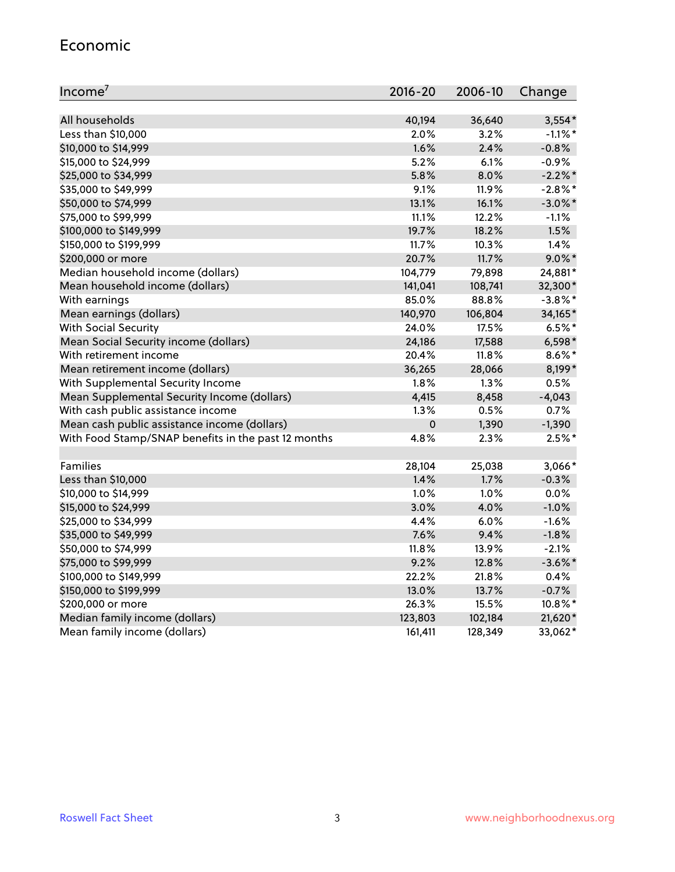#### Economic

| Income <sup>7</sup>                                 | $2016 - 20$ | 2006-10 | Change     |
|-----------------------------------------------------|-------------|---------|------------|
|                                                     |             |         |            |
| All households                                      | 40,194      | 36,640  | $3,554*$   |
| Less than \$10,000                                  | 2.0%        | 3.2%    | $-1.1\%$ * |
| \$10,000 to \$14,999                                | 1.6%        | 2.4%    | $-0.8%$    |
| \$15,000 to \$24,999                                | 5.2%        | 6.1%    | $-0.9%$    |
| \$25,000 to \$34,999                                | 5.8%        | 8.0%    | $-2.2%$ *  |
| \$35,000 to \$49,999                                | 9.1%        | 11.9%   | $-2.8\%$ * |
| \$50,000 to \$74,999                                | 13.1%       | 16.1%   | $-3.0\%$ * |
| \$75,000 to \$99,999                                | 11.1%       | 12.2%   | $-1.1%$    |
| \$100,000 to \$149,999                              | 19.7%       | 18.2%   | 1.5%       |
| \$150,000 to \$199,999                              | 11.7%       | 10.3%   | 1.4%       |
| \$200,000 or more                                   | 20.7%       | 11.7%   | $9.0\%$ *  |
| Median household income (dollars)                   | 104,779     | 79,898  | 24,881*    |
| Mean household income (dollars)                     | 141,041     | 108,741 | 32,300*    |
| With earnings                                       | 85.0%       | 88.8%   | $-3.8\%$ * |
| Mean earnings (dollars)                             | 140,970     | 106,804 | 34,165*    |
| <b>With Social Security</b>                         | 24.0%       | 17.5%   | $6.5%$ *   |
| Mean Social Security income (dollars)               | 24,186      | 17,588  | $6,598*$   |
| With retirement income                              | 20.4%       | 11.8%   | $8.6\%$ *  |
| Mean retirement income (dollars)                    | 36,265      | 28,066  | $8,199*$   |
| With Supplemental Security Income                   | 1.8%        | $1.3\%$ | 0.5%       |
| Mean Supplemental Security Income (dollars)         | 4,415       | 8,458   | $-4,043$   |
| With cash public assistance income                  | 1.3%        | 0.5%    | 0.7%       |
| Mean cash public assistance income (dollars)        | $\mathbf 0$ | 1,390   | $-1,390$   |
| With Food Stamp/SNAP benefits in the past 12 months | 4.8%        | 2.3%    | $2.5%$ *   |
|                                                     |             |         |            |
| Families                                            | 28,104      | 25,038  | 3,066*     |
| Less than \$10,000                                  | 1.4%        | 1.7%    | $-0.3%$    |
| \$10,000 to \$14,999                                | 1.0%        | 1.0%    | 0.0%       |
| \$15,000 to \$24,999                                | 3.0%        | 4.0%    | $-1.0%$    |
| \$25,000 to \$34,999                                | 4.4%        | 6.0%    | $-1.6%$    |
| \$35,000 to \$49,999                                | 7.6%        | 9.4%    | $-1.8%$    |
| \$50,000 to \$74,999                                | 11.8%       | 13.9%   | $-2.1%$    |
| \$75,000 to \$99,999                                | 9.2%        | 12.8%   | $-3.6\%$ * |
| \$100,000 to \$149,999                              | 22.2%       | 21.8%   | 0.4%       |
| \$150,000 to \$199,999                              | 13.0%       | 13.7%   | $-0.7%$    |
| \$200,000 or more                                   | 26.3%       | 15.5%   | 10.8%*     |
| Median family income (dollars)                      | 123,803     | 102,184 | 21,620*    |
| Mean family income (dollars)                        | 161,411     | 128,349 | 33,062*    |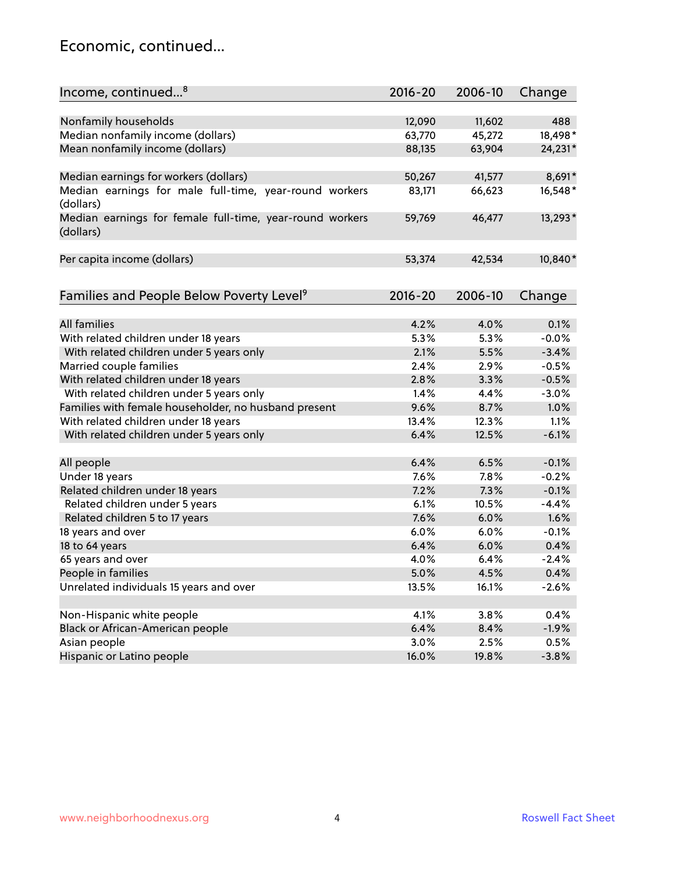#### Economic, continued...

| Income, continued <sup>8</sup>                                        | $2016 - 20$ | 2006-10 | Change  |
|-----------------------------------------------------------------------|-------------|---------|---------|
|                                                                       |             |         |         |
| Nonfamily households                                                  | 12,090      | 11,602  | 488     |
| Median nonfamily income (dollars)                                     | 63,770      | 45,272  | 18,498* |
| Mean nonfamily income (dollars)                                       | 88,135      | 63,904  | 24,231* |
| Median earnings for workers (dollars)                                 | 50,267      | 41,577  | 8,691*  |
| Median earnings for male full-time, year-round workers                | 83,171      | 66,623  | 16,548* |
| (dollars)                                                             |             |         |         |
| Median earnings for female full-time, year-round workers<br>(dollars) | 59,769      | 46,477  | 13,293* |
| Per capita income (dollars)                                           | 53,374      | 42,534  | 10,840* |
|                                                                       |             |         |         |
| Families and People Below Poverty Level <sup>9</sup>                  | $2016 - 20$ | 2006-10 | Change  |
|                                                                       |             |         |         |
| <b>All families</b>                                                   | 4.2%        | 4.0%    | 0.1%    |
| With related children under 18 years                                  | 5.3%        | 5.3%    | $-0.0%$ |
| With related children under 5 years only                              | 2.1%        | 5.5%    | $-3.4%$ |
| Married couple families                                               | 2.4%        | 2.9%    | $-0.5%$ |
| With related children under 18 years                                  | 2.8%        | 3.3%    | $-0.5%$ |
| With related children under 5 years only                              | 1.4%        | 4.4%    | $-3.0%$ |
| Families with female householder, no husband present                  | 9.6%        | 8.7%    | 1.0%    |
| With related children under 18 years                                  | 13.4%       | 12.3%   | 1.1%    |
| With related children under 5 years only                              | 6.4%        | 12.5%   | $-6.1%$ |
| All people                                                            | 6.4%        | 6.5%    | $-0.1%$ |
| Under 18 years                                                        | 7.6%        | 7.8%    | $-0.2%$ |
| Related children under 18 years                                       | 7.2%        | 7.3%    | $-0.1%$ |
| Related children under 5 years                                        | 6.1%        | 10.5%   | $-4.4%$ |
| Related children 5 to 17 years                                        | 7.6%        | 6.0%    | 1.6%    |
| 18 years and over                                                     | 6.0%        | 6.0%    | $-0.1%$ |
| 18 to 64 years                                                        | 6.4%        | 6.0%    | 0.4%    |
| 65 years and over                                                     | 4.0%        | 6.4%    | $-2.4%$ |
|                                                                       |             |         | 0.4%    |
| People in families                                                    | 5.0%        | 4.5%    |         |
| Unrelated individuals 15 years and over                               | 13.5%       | 16.1%   | $-2.6%$ |
| Non-Hispanic white people                                             | 4.1%        | 3.8%    | 0.4%    |
| Black or African-American people                                      | 6.4%        | 8.4%    | $-1.9%$ |
| Asian people                                                          | 3.0%        | 2.5%    | 0.5%    |
|                                                                       | 16.0%       |         | $-3.8%$ |
| Hispanic or Latino people                                             |             | 19.8%   |         |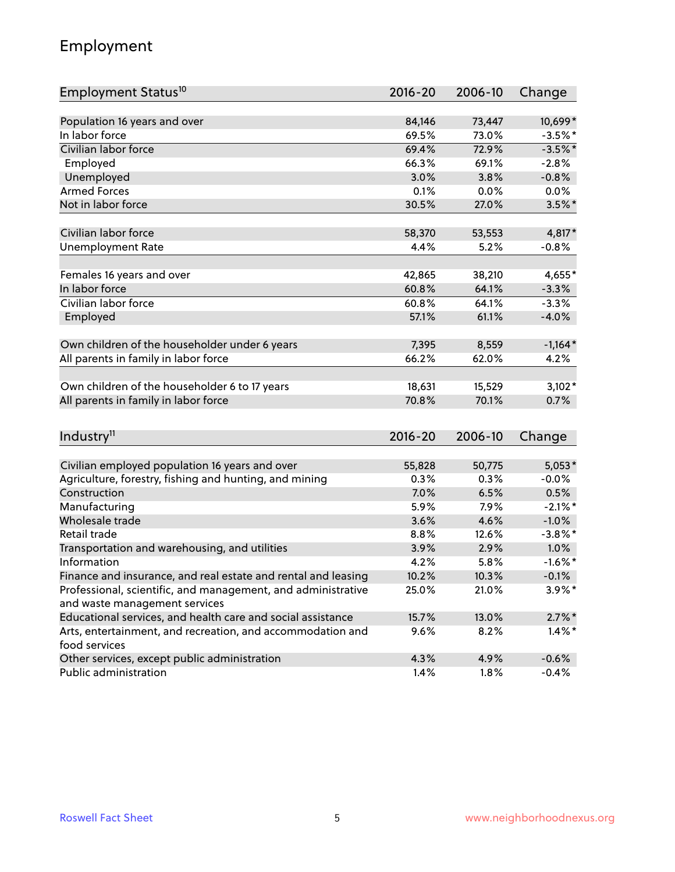## Employment

| Employment Status <sup>10</sup>                                                               | $2016 - 20$ | 2006-10 | Change     |
|-----------------------------------------------------------------------------------------------|-------------|---------|------------|
|                                                                                               |             |         |            |
| Population 16 years and over                                                                  | 84,146      | 73,447  | 10,699*    |
| In labor force                                                                                | 69.5%       | 73.0%   | $-3.5%$ *  |
| Civilian labor force                                                                          | 69.4%       | 72.9%   | $-3.5%$ *  |
| Employed                                                                                      | 66.3%       | 69.1%   | $-2.8%$    |
| Unemployed                                                                                    | 3.0%        | 3.8%    | $-0.8%$    |
| <b>Armed Forces</b>                                                                           | 0.1%        | 0.0%    | $0.0\%$    |
| Not in labor force                                                                            | 30.5%       | 27.0%   | $3.5\%$ *  |
| Civilian labor force                                                                          | 58,370      | 53,553  | 4,817*     |
| <b>Unemployment Rate</b>                                                                      | 4.4%        | 5.2%    | $-0.8%$    |
|                                                                                               |             |         |            |
| Females 16 years and over                                                                     | 42,865      | 38,210  | 4,655*     |
| In labor force                                                                                | 60.8%       | 64.1%   | $-3.3%$    |
| Civilian labor force                                                                          | 60.8%       | 64.1%   | $-3.3%$    |
| Employed                                                                                      | 57.1%       | 61.1%   | $-4.0%$    |
| Own children of the householder under 6 years                                                 | 7,395       | 8,559   | $-1,164*$  |
|                                                                                               | 66.2%       | 62.0%   | 4.2%       |
| All parents in family in labor force                                                          |             |         |            |
| Own children of the householder 6 to 17 years                                                 | 18,631      | 15,529  | $3,102*$   |
| All parents in family in labor force                                                          | 70.8%       | 70.1%   | 0.7%       |
|                                                                                               |             |         |            |
| Industry <sup>11</sup>                                                                        | $2016 - 20$ | 2006-10 | Change     |
|                                                                                               |             |         |            |
| Civilian employed population 16 years and over                                                | 55,828      | 50,775  | $5,053*$   |
| Agriculture, forestry, fishing and hunting, and mining                                        | 0.3%        | 0.3%    | $-0.0%$    |
| Construction                                                                                  | 7.0%        | 6.5%    | 0.5%       |
| Manufacturing                                                                                 | 5.9%        | 7.9%    | $-2.1\%$ * |
| Wholesale trade                                                                               | 3.6%        | 4.6%    | $-1.0%$    |
| Retail trade                                                                                  | 8.8%        | 12.6%   | $-3.8\%$ * |
| Transportation and warehousing, and utilities                                                 | 3.9%        | 2.9%    | 1.0%       |
| Information                                                                                   | 4.2%        | 5.8%    | $-1.6%$ *  |
| Finance and insurance, and real estate and rental and leasing                                 | 10.2%       | 10.3%   | $-0.1%$    |
| Professional, scientific, and management, and administrative<br>and waste management services | 25.0%       | 21.0%   | $3.9\%$ *  |
| Educational services, and health care and social assistance                                   | 15.7%       | 13.0%   | $2.7\%$ *  |
| Arts, entertainment, and recreation, and accommodation and                                    | 9.6%        | 8.2%    | $1.4\%$ *  |
| food services                                                                                 |             |         |            |
| Other services, except public administration                                                  | 4.3%        | 4.9%    | $-0.6%$    |
| Public administration                                                                         | 1.4%        | 1.8%    | $-0.4%$    |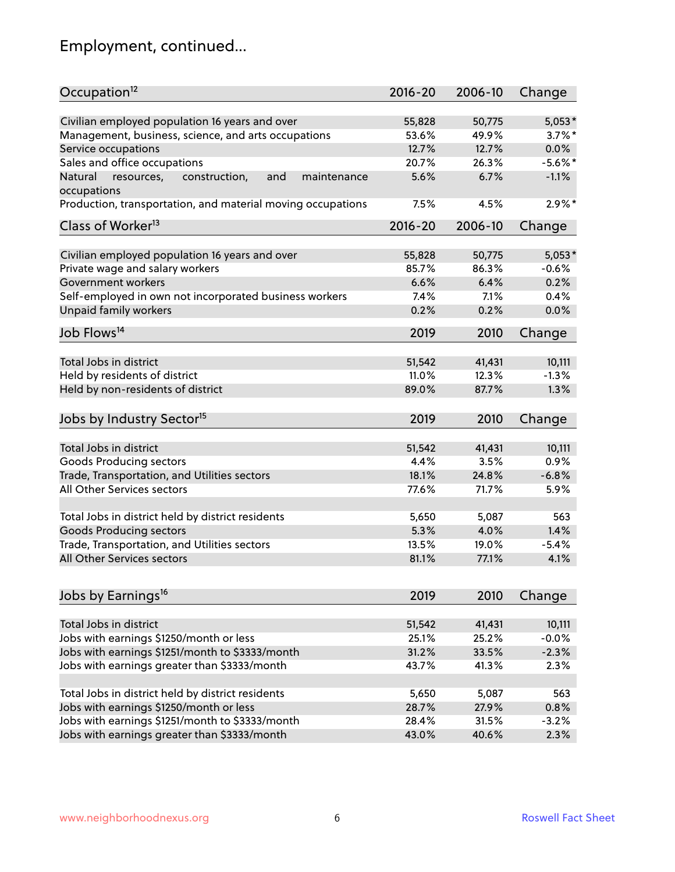# Employment, continued...

| Occupation <sup>12</sup>                                     | $2016 - 20$ | 2006-10 | Change     |
|--------------------------------------------------------------|-------------|---------|------------|
| Civilian employed population 16 years and over               | 55,828      | 50,775  | $5,053*$   |
| Management, business, science, and arts occupations          | 53.6%       | 49.9%   | $3.7\%$ *  |
| Service occupations                                          | 12.7%       | 12.7%   | 0.0%       |
| Sales and office occupations                                 | 20.7%       | 26.3%   | $-5.6\%$ * |
| Natural<br>and<br>resources,<br>construction,<br>maintenance | 5.6%        | 6.7%    | $-1.1%$    |
| occupations                                                  |             |         |            |
| Production, transportation, and material moving occupations  | 7.5%        | 4.5%    | $2.9\%$ *  |
| Class of Worker <sup>13</sup>                                | $2016 - 20$ | 2006-10 | Change     |
|                                                              |             |         |            |
| Civilian employed population 16 years and over               | 55,828      | 50,775  | $5,053*$   |
| Private wage and salary workers                              | 85.7%       | 86.3%   | $-0.6%$    |
| Government workers                                           | 6.6%        | 6.4%    | 0.2%       |
| Self-employed in own not incorporated business workers       | 7.4%        | 7.1%    | 0.4%       |
| Unpaid family workers                                        | 0.2%        | 0.2%    | 0.0%       |
| Job Flows <sup>14</sup>                                      | 2019        | 2010    | Change     |
|                                                              |             |         |            |
| Total Jobs in district                                       | 51,542      | 41,431  | 10,111     |
| Held by residents of district                                | 11.0%       | 12.3%   | $-1.3%$    |
| Held by non-residents of district                            | 89.0%       | 87.7%   | 1.3%       |
| Jobs by Industry Sector <sup>15</sup>                        | 2019        | 2010    | Change     |
|                                                              |             |         |            |
| Total Jobs in district                                       | 51,542      | 41,431  | 10,111     |
| Goods Producing sectors                                      | 4.4%        | 3.5%    | 0.9%       |
| Trade, Transportation, and Utilities sectors                 | 18.1%       | 24.8%   | $-6.8%$    |
| All Other Services sectors                                   | 77.6%       | 71.7%   | 5.9%       |
| Total Jobs in district held by district residents            | 5,650       | 5,087   | 563        |
| <b>Goods Producing sectors</b>                               | 5.3%        | 4.0%    | 1.4%       |
| Trade, Transportation, and Utilities sectors                 | 13.5%       | 19.0%   | $-5.4%$    |
| All Other Services sectors                                   | 81.1%       | 77.1%   | 4.1%       |
|                                                              |             |         |            |
| Jobs by Earnings <sup>16</sup>                               | 2019        | 2010    | Change     |
|                                                              |             |         |            |
| Total Jobs in district                                       | 51,542      | 41,431  | 10,111     |
| Jobs with earnings \$1250/month or less                      | 25.1%       | 25.2%   | $-0.0%$    |
| Jobs with earnings \$1251/month to \$3333/month              | 31.2%       | 33.5%   | $-2.3%$    |
| Jobs with earnings greater than \$3333/month                 | 43.7%       | 41.3%   | 2.3%       |
| Total Jobs in district held by district residents            | 5,650       | 5,087   | 563        |
| Jobs with earnings \$1250/month or less                      | 28.7%       | 27.9%   | 0.8%       |
| Jobs with earnings \$1251/month to \$3333/month              | 28.4%       | 31.5%   | $-3.2%$    |
| Jobs with earnings greater than \$3333/month                 | 43.0%       | 40.6%   | 2.3%       |
|                                                              |             |         |            |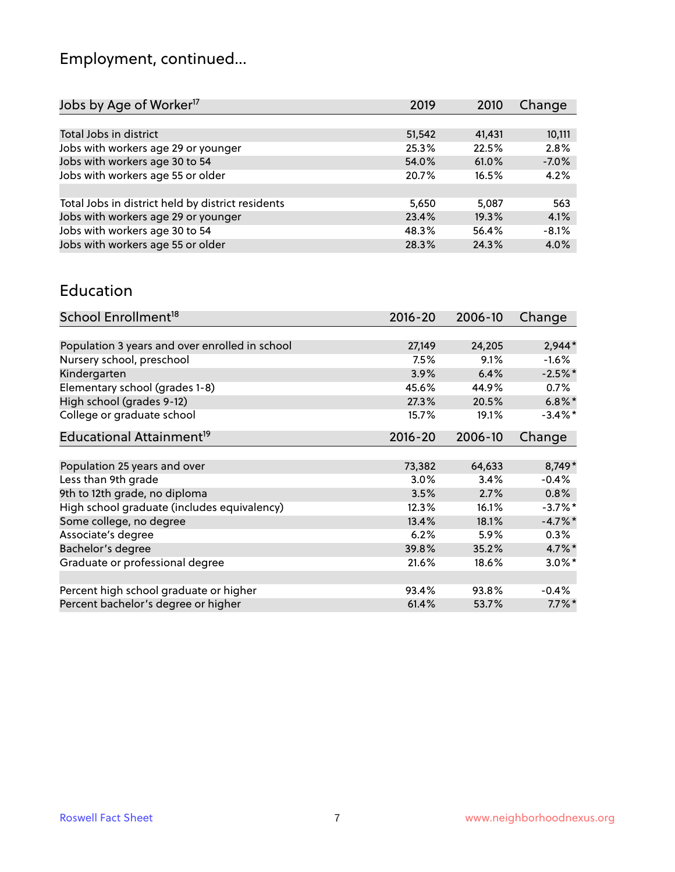# Employment, continued...

| 10,111  |
|---------|
| 2.8%    |
| $-7.0%$ |
| 4.2%    |
|         |
| 563     |
| 4.1%    |
| $-8.1%$ |
| 4.0%    |
|         |

#### Education

| School Enrollment <sup>18</sup>                | $2016 - 20$ | 2006-10 | Change     |
|------------------------------------------------|-------------|---------|------------|
|                                                |             |         |            |
| Population 3 years and over enrolled in school | 27,149      | 24,205  | $2,944*$   |
| Nursery school, preschool                      | 7.5%        | 9.1%    | $-1.6\%$   |
| Kindergarten                                   | 3.9%        | 6.4%    | $-2.5%$ *  |
| Elementary school (grades 1-8)                 | 45.6%       | 44.9%   | 0.7%       |
| High school (grades 9-12)                      | 27.3%       | 20.5%   | $6.8\%$ *  |
| College or graduate school                     | 15.7%       | 19.1%   | $-3.4\%$ * |
| Educational Attainment <sup>19</sup>           | 2016-20     | 2006-10 | Change     |
|                                                |             |         |            |
| Population 25 years and over                   | 73,382      | 64,633  | 8,749*     |
| Less than 9th grade                            | 3.0%        | 3.4%    | $-0.4%$    |
| 9th to 12th grade, no diploma                  | 3.5%        | 2.7%    | 0.8%       |
| High school graduate (includes equivalency)    | 12.3%       | 16.1%   | $-3.7\%$ * |
| Some college, no degree                        | 13.4%       | 18.1%   | $-4.7\%$ * |
| Associate's degree                             | 6.2%        | 5.9%    | 0.3%       |
| Bachelor's degree                              | 39.8%       | 35.2%   | $4.7\%$ *  |
| Graduate or professional degree                | 21.6%       | 18.6%   | $3.0\%$ *  |
|                                                |             |         |            |
| Percent high school graduate or higher         | 93.4%       | 93.8%   | $-0.4%$    |
| Percent bachelor's degree or higher            | 61.4%       | 53.7%   | $7.7\%$ *  |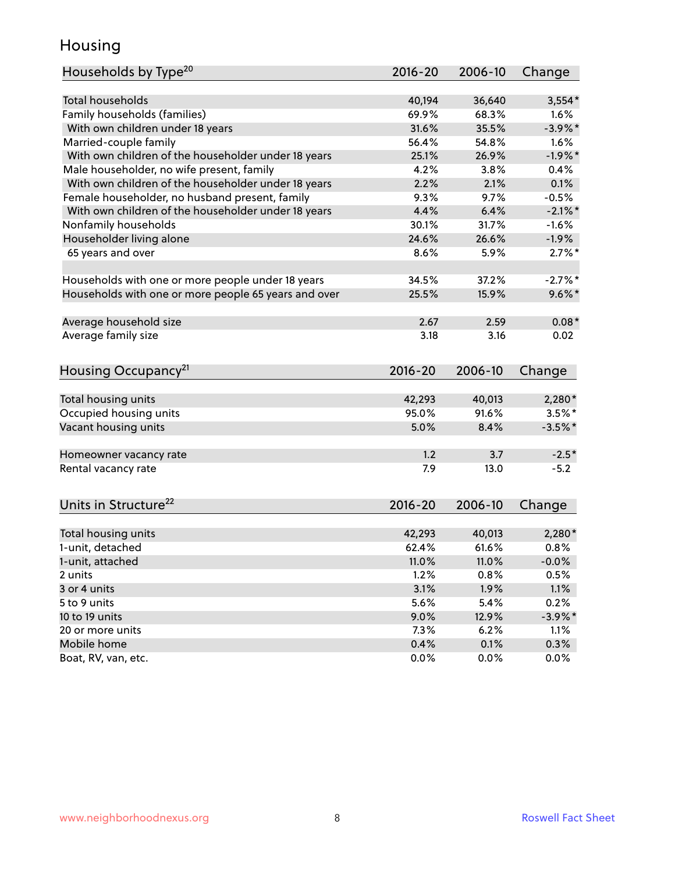#### Housing

| Households by Type <sup>20</sup>                     | 2016-20     | 2006-10 | Change     |
|------------------------------------------------------|-------------|---------|------------|
|                                                      |             |         |            |
| <b>Total households</b>                              | 40,194      | 36,640  | $3,554*$   |
| Family households (families)                         | 69.9%       | 68.3%   | 1.6%       |
| With own children under 18 years                     | 31.6%       | 35.5%   | $-3.9\%$ * |
| Married-couple family                                | 56.4%       | 54.8%   | 1.6%       |
| With own children of the householder under 18 years  | 25.1%       | 26.9%   | $-1.9%$ *  |
| Male householder, no wife present, family            | 4.2%        | 3.8%    | 0.4%       |
| With own children of the householder under 18 years  | 2.2%        | 2.1%    | 0.1%       |
| Female householder, no husband present, family       | 9.3%        | 9.7%    | $-0.5%$    |
| With own children of the householder under 18 years  | 4.4%        | 6.4%    | $-2.1\%$ * |
| Nonfamily households                                 | 30.1%       | 31.7%   | $-1.6%$    |
| Householder living alone                             | 24.6%       | 26.6%   | $-1.9%$    |
| 65 years and over                                    | 8.6%        | 5.9%    | $2.7\%$ *  |
|                                                      |             |         |            |
| Households with one or more people under 18 years    | 34.5%       | 37.2%   | $-2.7%$ *  |
| Households with one or more people 65 years and over | 25.5%       | 15.9%   | $9.6\%$ *  |
|                                                      |             |         |            |
| Average household size                               | 2.67        | 2.59    | $0.08*$    |
| Average family size                                  | 3.18        | 3.16    | 0.02       |
|                                                      |             |         |            |
|                                                      |             |         |            |
| Housing Occupancy <sup>21</sup>                      | 2016-20     | 2006-10 | Change     |
| Total housing units                                  | 42,293      | 40,013  | 2,280*     |
| Occupied housing units                               | 95.0%       | 91.6%   | $3.5\%$ *  |
| Vacant housing units                                 | 5.0%        | 8.4%    | $-3.5%$ *  |
|                                                      |             |         |            |
| Homeowner vacancy rate                               | 1.2         | 3.7     | $-2.5*$    |
| Rental vacancy rate                                  | 7.9         | 13.0    | $-5.2$     |
|                                                      |             |         |            |
| Units in Structure <sup>22</sup>                     | $2016 - 20$ | 2006-10 | Change     |
|                                                      |             |         |            |
| Total housing units                                  | 42,293      | 40,013  | $2,280*$   |
| 1-unit, detached                                     | 62.4%       | 61.6%   | 0.8%       |
| 1-unit, attached                                     | 11.0%       | 11.0%   | $-0.0%$    |
| 2 units                                              | 1.2%        | 0.8%    | 0.5%       |
| 3 or 4 units                                         | 3.1%        | 1.9%    | 1.1%       |
| 5 to 9 units                                         | 5.6%        | 5.4%    | 0.2%       |
| 10 to 19 units                                       | 9.0%        | 12.9%   | $-3.9\%$ * |
| 20 or more units                                     | 7.3%        | 6.2%    | 1.1%       |
| Mobile home                                          | 0.4%        | 0.1%    | 0.3%       |
| Boat, RV, van, etc.                                  | 0.0%        | 0.0%    | 0.0%       |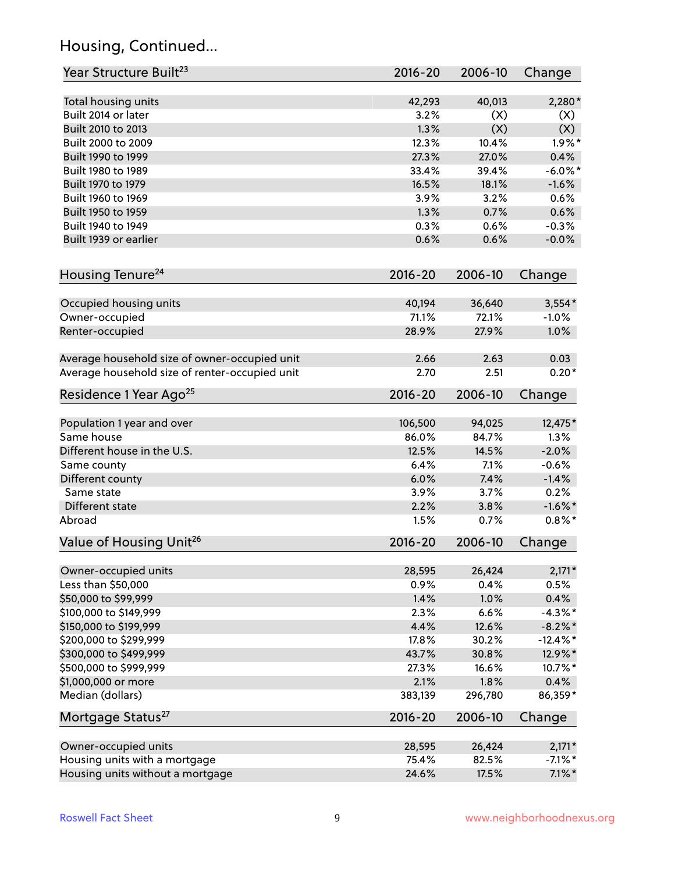## Housing, Continued...

| Year Structure Built <sup>23</sup>             | 2016-20         | 2006-10         | Change      |
|------------------------------------------------|-----------------|-----------------|-------------|
| Total housing units                            | 42,293          | 40,013          | $2,280*$    |
| Built 2014 or later                            | 3.2%            | (X)             | (X)         |
| Built 2010 to 2013                             | 1.3%            | (X)             | (X)         |
| Built 2000 to 2009                             | 12.3%           | 10.4%           | $1.9\%$ *   |
| Built 1990 to 1999                             | 27.3%           | 27.0%           | 0.4%        |
| Built 1980 to 1989                             | 33.4%           | 39.4%           | $-6.0\%$ *  |
| Built 1970 to 1979                             | 16.5%           | 18.1%           | $-1.6%$     |
| Built 1960 to 1969                             | 3.9%            | 3.2%            | 0.6%        |
| Built 1950 to 1959                             | 1.3%            | 0.7%            | 0.6%        |
| Built 1940 to 1949                             | 0.3%            | 0.6%            | $-0.3%$     |
| Built 1939 or earlier                          | 0.6%            | 0.6%            |             |
|                                                |                 |                 | $-0.0%$     |
| Housing Tenure <sup>24</sup>                   | $2016 - 20$     | 2006-10         | Change      |
|                                                |                 |                 |             |
| Occupied housing units                         | 40,194<br>71.1% | 36,640<br>72.1% | $3,554*$    |
| Owner-occupied                                 |                 |                 | $-1.0%$     |
| Renter-occupied                                | 28.9%           | 27.9%           | 1.0%        |
| Average household size of owner-occupied unit  | 2.66            | 2.63            | 0.03        |
| Average household size of renter-occupied unit | 2.70            | 2.51            | $0.20*$     |
| Residence 1 Year Ago <sup>25</sup>             | 2016-20         | 2006-10         | Change      |
|                                                |                 |                 |             |
| Population 1 year and over                     | 106,500         | 94,025          | 12,475*     |
| Same house                                     | 86.0%           | 84.7%           | 1.3%        |
| Different house in the U.S.                    | 12.5%           | 14.5%           | $-2.0%$     |
| Same county                                    | 6.4%            | 7.1%            | $-0.6%$     |
| Different county                               | 6.0%            | 7.4%            | $-1.4%$     |
| Same state                                     | 3.9%            | 3.7%            | 0.2%        |
| Different state                                | 2.2%            | 3.8%            | $-1.6\%$ *  |
| Abroad                                         | 1.5%            | 0.7%            | $0.8\%$ *   |
| Value of Housing Unit <sup>26</sup>            | 2016-20         | 2006-10         | Change      |
| Owner-occupied units                           | 28,595          | 26,424          | $2,171*$    |
| Less than \$50,000                             | 0.9%            | 0.4%            | 0.5%        |
| \$50,000 to \$99,999                           | 1.4%            | 1.0%            | 0.4%        |
|                                                |                 |                 |             |
| \$100,000 to \$149,999                         | 2.3%            | 6.6%            | $-4.3\%$ *  |
| \$150,000 to \$199,999                         | 4.4%            | 12.6%           | $-8.2\%$ *  |
| \$200,000 to \$299,999                         | 17.8%           | 30.2%           | $-12.4\%$ * |
| \$300,000 to \$499,999                         | 43.7%           | 30.8%           | 12.9%*      |
| \$500,000 to \$999,999                         | 27.3%           | 16.6%           | 10.7%*      |
| \$1,000,000 or more                            | 2.1%            | 1.8%            | 0.4%        |
| Median (dollars)                               | 383,139         | 296,780         | 86,359*     |
| Mortgage Status <sup>27</sup>                  | 2016-20         | 2006-10         | Change      |
| Owner-occupied units                           | 28,595          | 26,424          | $2,171*$    |
| Housing units with a mortgage                  | 75.4%           | 82.5%           | $-7.1\%$ *  |
| Housing units without a mortgage               | 24.6%           | 17.5%           | $7.1\%$ *   |
|                                                |                 |                 |             |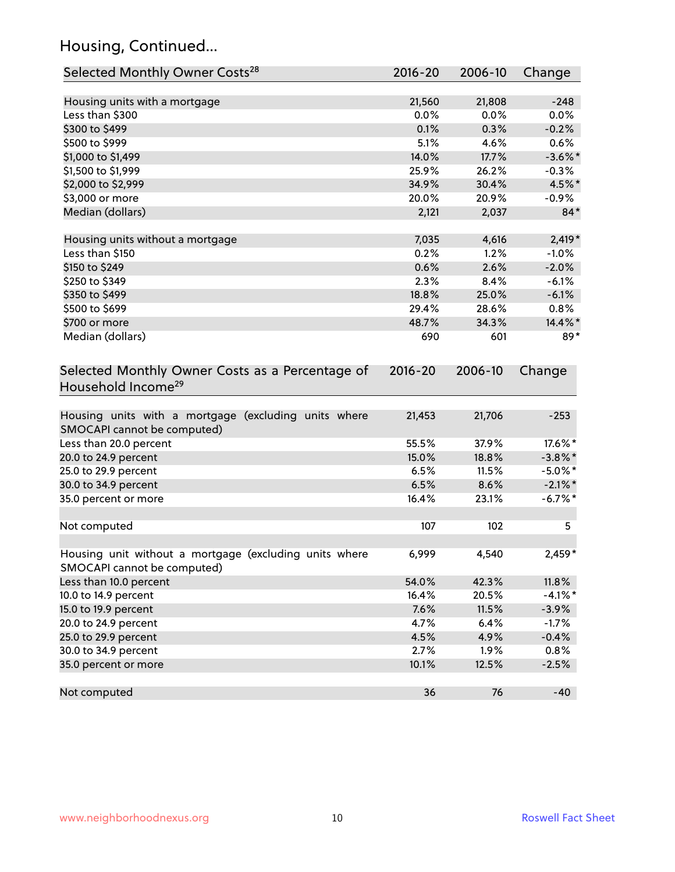## Housing, Continued...

| Selected Monthly Owner Costs <sup>28</sup>             | 2016-20 | 2006-10 | Change     |
|--------------------------------------------------------|---------|---------|------------|
| Housing units with a mortgage                          | 21,560  | 21,808  | $-248$     |
| Less than \$300                                        | 0.0%    | 0.0%    | 0.0%       |
| \$300 to \$499                                         | 0.1%    | 0.3%    | $-0.2%$    |
| \$500 to \$999                                         | 5.1%    | 4.6%    | 0.6%       |
| \$1,000 to \$1,499                                     | 14.0%   | 17.7%   | $-3.6\%$ * |
| \$1,500 to \$1,999                                     | 25.9%   | 26.2%   | $-0.3%$    |
| \$2,000 to \$2,999                                     | 34.9%   | 30.4%   | 4.5%*      |
| \$3,000 or more                                        | 20.0%   | 20.9%   | $-0.9%$    |
| Median (dollars)                                       | 2,121   | 2,037   | $84*$      |
| Housing units without a mortgage                       | 7,035   | 4,616   | $2,419*$   |
| Less than \$150                                        | 0.2%    | 1.2%    | $-1.0%$    |
| \$150 to \$249                                         | 0.6%    | 2.6%    | $-2.0%$    |
| \$250 to \$349                                         | 2.3%    | 8.4%    | $-6.1%$    |
| \$350 to \$499                                         | 18.8%   | 25.0%   | $-6.1%$    |
| \$500 to \$699                                         | 29.4%   | 28.6%   | 0.8%       |
| \$700 or more                                          | 48.7%   | 34.3%   | 14.4%*     |
| Median (dollars)                                       | 690     | 601     | $89*$      |
| Household Income <sup>29</sup>                         |         |         |            |
| Housing units with a mortgage (excluding units where   | 21,453  | 21,706  | $-253$     |
| SMOCAPI cannot be computed)                            | 55.5%   | 37.9%   | 17.6%*     |
| Less than 20.0 percent                                 | 15.0%   | 18.8%   | $-3.8\%$ * |
| 20.0 to 24.9 percent<br>25.0 to 29.9 percent           | 6.5%    | 11.5%   | $-5.0\%$ * |
| 30.0 to 34.9 percent                                   | 6.5%    | 8.6%    | $-2.1\%$ * |
| 35.0 percent or more                                   | 16.4%   | 23.1%   | $-6.7\%$ * |
|                                                        |         |         |            |
| Not computed                                           | 107     | 102     | 5          |
| Housing unit without a mortgage (excluding units where | 6,999   | 4,540   | $2,459*$   |
| SMOCAPI cannot be computed)                            |         |         |            |
| Less than 10.0 percent                                 | 54.0%   | 42.3%   | 11.8%      |
| 10.0 to 14.9 percent                                   | 16.4%   | 20.5%   | $-4.1%$ *  |
| 15.0 to 19.9 percent                                   | 7.6%    | 11.5%   | $-3.9%$    |
| 20.0 to 24.9 percent                                   | 4.7%    | 6.4%    | $-1.7%$    |
| 25.0 to 29.9 percent                                   | 4.5%    | 4.9%    | $-0.4%$    |
| 30.0 to 34.9 percent                                   | 2.7%    | 1.9%    | 0.8%       |
| 35.0 percent or more                                   | 10.1%   | 12.5%   | $-2.5%$    |
| Not computed                                           | 36      | 76      | $-40$      |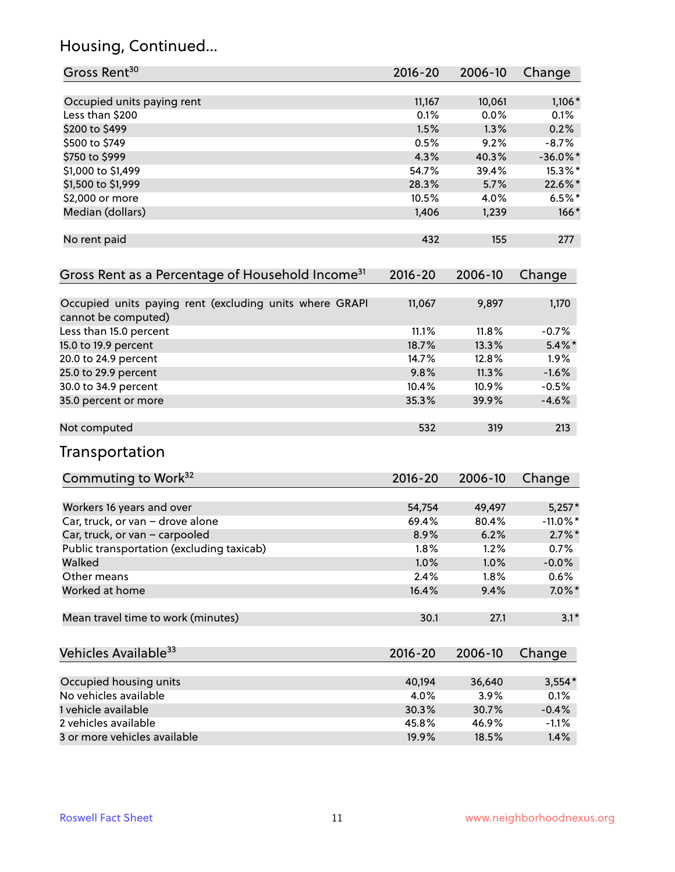## Housing, Continued...

| Occupied units paying rent<br>11,167<br>10,061<br>$1,106*$<br>0.1%<br>0.0%<br>Less than \$200<br>0.1%<br>\$200 to \$499<br>1.5%<br>1.3%<br>0.2%<br>0.5%<br>9.2%<br>\$500 to \$749<br>$-8.7%$<br>4.3%<br>40.3%<br>$-36.0\%$ *<br>\$750 to \$999<br>\$1,000 to \$1,499<br>54.7%<br>39.4%<br>15.3%*<br>22.6%*<br>\$1,500 to \$1,999<br>28.3%<br>5.7%<br>10.5%<br>\$2,000 or more<br>4.0%<br>$6.5%$ *<br>Median (dollars)<br>1,406<br>1,239<br>No rent paid<br>432<br>155<br>277<br>$2016 - 20$<br>2006-10<br>Change<br>11,067<br>9,897<br>1,170<br>cannot be computed)<br>11.1%<br>11.8%<br>$-0.7%$<br>Less than 15.0 percent<br>13.3%<br>15.0 to 19.9 percent<br>18.7%<br>$5.4\%$ *<br>12.8%<br>20.0 to 24.9 percent<br>14.7%<br>1.9%<br>25.0 to 29.9 percent<br>11.3%<br>9.8%<br>$-1.6%$<br>30.0 to 34.9 percent<br>10.4%<br>10.9%<br>$-0.5%$<br>35.3%<br>39.9%<br>$-4.6%$<br>532<br>213<br>319<br>Commuting to Work <sup>32</sup><br>2016-20<br>2006-10<br>Change<br>54,754<br>49,497<br>$5,257*$<br>Workers 16 years and over<br>$-11.0\%$ *<br>Car, truck, or van - drove alone<br>69.4%<br>80.4%<br>$2.7\%$ *<br>Car, truck, or van - carpooled<br>8.9%<br>6.2%<br>Public transportation (excluding taxicab)<br>1.8%<br>1.2%<br>0.7%<br>Walked<br>1.0%<br>1.0%<br>$-0.0%$<br>2.4%<br>0.6%<br>Other means<br>1.8%<br>Worked at home<br>16.4%<br>9.4%<br>Mean travel time to work (minutes)<br>30.1<br>27.1<br>2016-20<br>2006-10<br>Change<br>Occupied housing units<br>40,194<br>36,640<br>$3,554*$<br>No vehicles available<br>4.0%<br>3.9%<br>0.1%<br>1 vehicle available<br>30.3%<br>30.7%<br>$-0.4%$<br>2 vehicles available<br>45.8%<br>46.9%<br>$-1.1%$ | Gross Rent <sup>30</sup>                                     | 2016-20 | 2006-10 | Change    |
|------------------------------------------------------------------------------------------------------------------------------------------------------------------------------------------------------------------------------------------------------------------------------------------------------------------------------------------------------------------------------------------------------------------------------------------------------------------------------------------------------------------------------------------------------------------------------------------------------------------------------------------------------------------------------------------------------------------------------------------------------------------------------------------------------------------------------------------------------------------------------------------------------------------------------------------------------------------------------------------------------------------------------------------------------------------------------------------------------------------------------------------------------------------------------------------------------------------------------------------------------------------------------------------------------------------------------------------------------------------------------------------------------------------------------------------------------------------------------------------------------------------------------------------------------------------------------------------------------------------------------------------------------------------|--------------------------------------------------------------|---------|---------|-----------|
|                                                                                                                                                                                                                                                                                                                                                                                                                                                                                                                                                                                                                                                                                                                                                                                                                                                                                                                                                                                                                                                                                                                                                                                                                                                                                                                                                                                                                                                                                                                                                                                                                                                                  |                                                              |         |         |           |
|                                                                                                                                                                                                                                                                                                                                                                                                                                                                                                                                                                                                                                                                                                                                                                                                                                                                                                                                                                                                                                                                                                                                                                                                                                                                                                                                                                                                                                                                                                                                                                                                                                                                  |                                                              |         |         |           |
|                                                                                                                                                                                                                                                                                                                                                                                                                                                                                                                                                                                                                                                                                                                                                                                                                                                                                                                                                                                                                                                                                                                                                                                                                                                                                                                                                                                                                                                                                                                                                                                                                                                                  |                                                              |         |         |           |
|                                                                                                                                                                                                                                                                                                                                                                                                                                                                                                                                                                                                                                                                                                                                                                                                                                                                                                                                                                                                                                                                                                                                                                                                                                                                                                                                                                                                                                                                                                                                                                                                                                                                  |                                                              |         |         |           |
|                                                                                                                                                                                                                                                                                                                                                                                                                                                                                                                                                                                                                                                                                                                                                                                                                                                                                                                                                                                                                                                                                                                                                                                                                                                                                                                                                                                                                                                                                                                                                                                                                                                                  |                                                              |         |         |           |
|                                                                                                                                                                                                                                                                                                                                                                                                                                                                                                                                                                                                                                                                                                                                                                                                                                                                                                                                                                                                                                                                                                                                                                                                                                                                                                                                                                                                                                                                                                                                                                                                                                                                  |                                                              |         |         |           |
|                                                                                                                                                                                                                                                                                                                                                                                                                                                                                                                                                                                                                                                                                                                                                                                                                                                                                                                                                                                                                                                                                                                                                                                                                                                                                                                                                                                                                                                                                                                                                                                                                                                                  |                                                              |         |         |           |
|                                                                                                                                                                                                                                                                                                                                                                                                                                                                                                                                                                                                                                                                                                                                                                                                                                                                                                                                                                                                                                                                                                                                                                                                                                                                                                                                                                                                                                                                                                                                                                                                                                                                  |                                                              |         |         |           |
|                                                                                                                                                                                                                                                                                                                                                                                                                                                                                                                                                                                                                                                                                                                                                                                                                                                                                                                                                                                                                                                                                                                                                                                                                                                                                                                                                                                                                                                                                                                                                                                                                                                                  |                                                              |         |         |           |
|                                                                                                                                                                                                                                                                                                                                                                                                                                                                                                                                                                                                                                                                                                                                                                                                                                                                                                                                                                                                                                                                                                                                                                                                                                                                                                                                                                                                                                                                                                                                                                                                                                                                  |                                                              |         |         | $166*$    |
|                                                                                                                                                                                                                                                                                                                                                                                                                                                                                                                                                                                                                                                                                                                                                                                                                                                                                                                                                                                                                                                                                                                                                                                                                                                                                                                                                                                                                                                                                                                                                                                                                                                                  |                                                              |         |         |           |
|                                                                                                                                                                                                                                                                                                                                                                                                                                                                                                                                                                                                                                                                                                                                                                                                                                                                                                                                                                                                                                                                                                                                                                                                                                                                                                                                                                                                                                                                                                                                                                                                                                                                  | Gross Rent as a Percentage of Household Income <sup>31</sup> |         |         |           |
|                                                                                                                                                                                                                                                                                                                                                                                                                                                                                                                                                                                                                                                                                                                                                                                                                                                                                                                                                                                                                                                                                                                                                                                                                                                                                                                                                                                                                                                                                                                                                                                                                                                                  | Occupied units paying rent (excluding units where GRAPI      |         |         |           |
|                                                                                                                                                                                                                                                                                                                                                                                                                                                                                                                                                                                                                                                                                                                                                                                                                                                                                                                                                                                                                                                                                                                                                                                                                                                                                                                                                                                                                                                                                                                                                                                                                                                                  |                                                              |         |         |           |
|                                                                                                                                                                                                                                                                                                                                                                                                                                                                                                                                                                                                                                                                                                                                                                                                                                                                                                                                                                                                                                                                                                                                                                                                                                                                                                                                                                                                                                                                                                                                                                                                                                                                  |                                                              |         |         |           |
|                                                                                                                                                                                                                                                                                                                                                                                                                                                                                                                                                                                                                                                                                                                                                                                                                                                                                                                                                                                                                                                                                                                                                                                                                                                                                                                                                                                                                                                                                                                                                                                                                                                                  |                                                              |         |         |           |
|                                                                                                                                                                                                                                                                                                                                                                                                                                                                                                                                                                                                                                                                                                                                                                                                                                                                                                                                                                                                                                                                                                                                                                                                                                                                                                                                                                                                                                                                                                                                                                                                                                                                  |                                                              |         |         |           |
|                                                                                                                                                                                                                                                                                                                                                                                                                                                                                                                                                                                                                                                                                                                                                                                                                                                                                                                                                                                                                                                                                                                                                                                                                                                                                                                                                                                                                                                                                                                                                                                                                                                                  |                                                              |         |         |           |
|                                                                                                                                                                                                                                                                                                                                                                                                                                                                                                                                                                                                                                                                                                                                                                                                                                                                                                                                                                                                                                                                                                                                                                                                                                                                                                                                                                                                                                                                                                                                                                                                                                                                  | 35.0 percent or more                                         |         |         |           |
|                                                                                                                                                                                                                                                                                                                                                                                                                                                                                                                                                                                                                                                                                                                                                                                                                                                                                                                                                                                                                                                                                                                                                                                                                                                                                                                                                                                                                                                                                                                                                                                                                                                                  | Not computed                                                 |         |         |           |
|                                                                                                                                                                                                                                                                                                                                                                                                                                                                                                                                                                                                                                                                                                                                                                                                                                                                                                                                                                                                                                                                                                                                                                                                                                                                                                                                                                                                                                                                                                                                                                                                                                                                  | Transportation                                               |         |         |           |
|                                                                                                                                                                                                                                                                                                                                                                                                                                                                                                                                                                                                                                                                                                                                                                                                                                                                                                                                                                                                                                                                                                                                                                                                                                                                                                                                                                                                                                                                                                                                                                                                                                                                  |                                                              |         |         |           |
|                                                                                                                                                                                                                                                                                                                                                                                                                                                                                                                                                                                                                                                                                                                                                                                                                                                                                                                                                                                                                                                                                                                                                                                                                                                                                                                                                                                                                                                                                                                                                                                                                                                                  |                                                              |         |         |           |
|                                                                                                                                                                                                                                                                                                                                                                                                                                                                                                                                                                                                                                                                                                                                                                                                                                                                                                                                                                                                                                                                                                                                                                                                                                                                                                                                                                                                                                                                                                                                                                                                                                                                  |                                                              |         |         |           |
|                                                                                                                                                                                                                                                                                                                                                                                                                                                                                                                                                                                                                                                                                                                                                                                                                                                                                                                                                                                                                                                                                                                                                                                                                                                                                                                                                                                                                                                                                                                                                                                                                                                                  |                                                              |         |         |           |
|                                                                                                                                                                                                                                                                                                                                                                                                                                                                                                                                                                                                                                                                                                                                                                                                                                                                                                                                                                                                                                                                                                                                                                                                                                                                                                                                                                                                                                                                                                                                                                                                                                                                  |                                                              |         |         |           |
|                                                                                                                                                                                                                                                                                                                                                                                                                                                                                                                                                                                                                                                                                                                                                                                                                                                                                                                                                                                                                                                                                                                                                                                                                                                                                                                                                                                                                                                                                                                                                                                                                                                                  |                                                              |         |         |           |
|                                                                                                                                                                                                                                                                                                                                                                                                                                                                                                                                                                                                                                                                                                                                                                                                                                                                                                                                                                                                                                                                                                                                                                                                                                                                                                                                                                                                                                                                                                                                                                                                                                                                  |                                                              |         |         |           |
|                                                                                                                                                                                                                                                                                                                                                                                                                                                                                                                                                                                                                                                                                                                                                                                                                                                                                                                                                                                                                                                                                                                                                                                                                                                                                                                                                                                                                                                                                                                                                                                                                                                                  |                                                              |         |         | $7.0\%$ * |
|                                                                                                                                                                                                                                                                                                                                                                                                                                                                                                                                                                                                                                                                                                                                                                                                                                                                                                                                                                                                                                                                                                                                                                                                                                                                                                                                                                                                                                                                                                                                                                                                                                                                  |                                                              |         |         | $3.1*$    |
|                                                                                                                                                                                                                                                                                                                                                                                                                                                                                                                                                                                                                                                                                                                                                                                                                                                                                                                                                                                                                                                                                                                                                                                                                                                                                                                                                                                                                                                                                                                                                                                                                                                                  | Vehicles Available <sup>33</sup>                             |         |         |           |
|                                                                                                                                                                                                                                                                                                                                                                                                                                                                                                                                                                                                                                                                                                                                                                                                                                                                                                                                                                                                                                                                                                                                                                                                                                                                                                                                                                                                                                                                                                                                                                                                                                                                  |                                                              |         |         |           |
|                                                                                                                                                                                                                                                                                                                                                                                                                                                                                                                                                                                                                                                                                                                                                                                                                                                                                                                                                                                                                                                                                                                                                                                                                                                                                                                                                                                                                                                                                                                                                                                                                                                                  |                                                              |         |         |           |
|                                                                                                                                                                                                                                                                                                                                                                                                                                                                                                                                                                                                                                                                                                                                                                                                                                                                                                                                                                                                                                                                                                                                                                                                                                                                                                                                                                                                                                                                                                                                                                                                                                                                  |                                                              |         |         |           |
|                                                                                                                                                                                                                                                                                                                                                                                                                                                                                                                                                                                                                                                                                                                                                                                                                                                                                                                                                                                                                                                                                                                                                                                                                                                                                                                                                                                                                                                                                                                                                                                                                                                                  |                                                              |         |         |           |
|                                                                                                                                                                                                                                                                                                                                                                                                                                                                                                                                                                                                                                                                                                                                                                                                                                                                                                                                                                                                                                                                                                                                                                                                                                                                                                                                                                                                                                                                                                                                                                                                                                                                  | 3 or more vehicles available                                 | 19.9%   | 18.5%   | 1.4%      |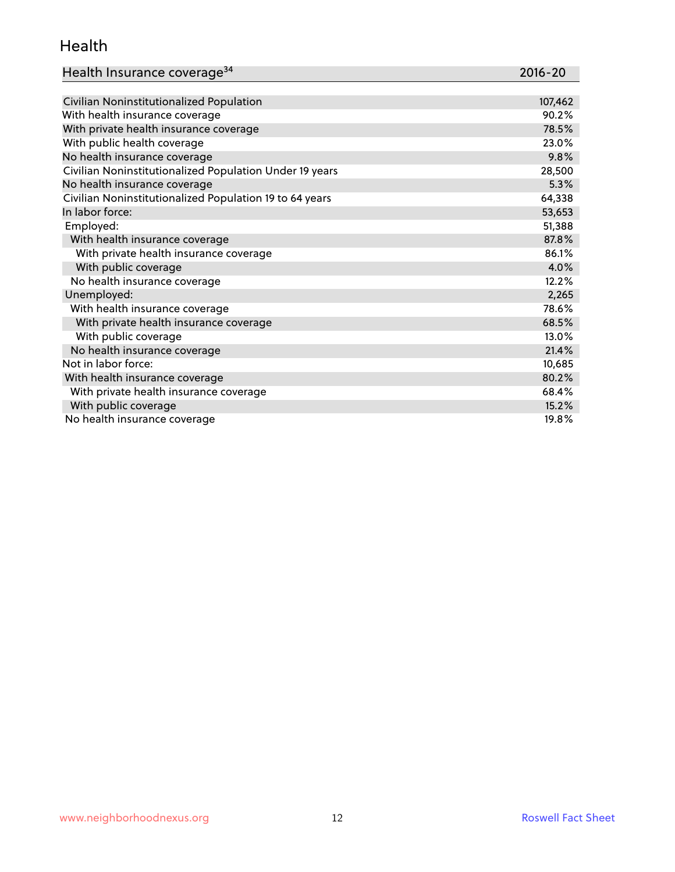#### Health

| Health Insurance coverage <sup>34</sup> | 2016-20 |
|-----------------------------------------|---------|

| Civilian Noninstitutionalized Population                | 107,462 |
|---------------------------------------------------------|---------|
| With health insurance coverage                          | 90.2%   |
| With private health insurance coverage                  | 78.5%   |
| With public health coverage                             | 23.0%   |
| No health insurance coverage                            | 9.8%    |
| Civilian Noninstitutionalized Population Under 19 years | 28,500  |
| No health insurance coverage                            | 5.3%    |
| Civilian Noninstitutionalized Population 19 to 64 years | 64,338  |
| In labor force:                                         | 53,653  |
| Employed:                                               | 51,388  |
| With health insurance coverage                          | 87.8%   |
| With private health insurance coverage                  | 86.1%   |
| With public coverage                                    | 4.0%    |
| No health insurance coverage                            | 12.2%   |
| Unemployed:                                             | 2,265   |
| With health insurance coverage                          | 78.6%   |
| With private health insurance coverage                  | 68.5%   |
| With public coverage                                    | 13.0%   |
| No health insurance coverage                            | 21.4%   |
| Not in labor force:                                     | 10,685  |
| With health insurance coverage                          | 80.2%   |
| With private health insurance coverage                  | 68.4%   |
| With public coverage                                    | 15.2%   |
| No health insurance coverage                            | 19.8%   |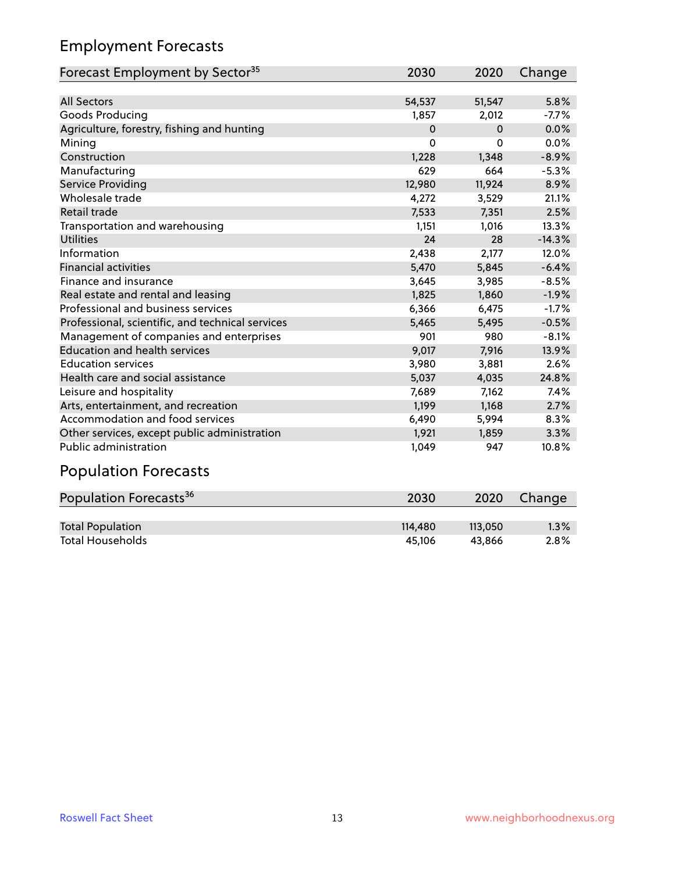## Employment Forecasts

| Forecast Employment by Sector <sup>35</sup>      | 2030     | 2020        | Change   |
|--------------------------------------------------|----------|-------------|----------|
|                                                  |          |             |          |
| <b>All Sectors</b>                               | 54,537   | 51,547      | 5.8%     |
| Goods Producing                                  | 1,857    | 2,012       | $-7.7%$  |
| Agriculture, forestry, fishing and hunting       | $\Omega$ | $\mathbf 0$ | 0.0%     |
| Mining                                           | 0        | 0           | 0.0%     |
| Construction                                     | 1,228    | 1,348       | $-8.9%$  |
| Manufacturing                                    | 629      | 664         | $-5.3%$  |
| <b>Service Providing</b>                         | 12,980   | 11,924      | 8.9%     |
| Wholesale trade                                  | 4,272    | 3,529       | 21.1%    |
| <b>Retail trade</b>                              | 7,533    | 7,351       | 2.5%     |
| Transportation and warehousing                   | 1,151    | 1,016       | 13.3%    |
| <b>Utilities</b>                                 | 24       | 28          | $-14.3%$ |
| Information                                      | 2,438    | 2,177       | 12.0%    |
| <b>Financial activities</b>                      | 5,470    | 5,845       | $-6.4%$  |
| Finance and insurance                            | 3,645    | 3,985       | $-8.5%$  |
| Real estate and rental and leasing               | 1,825    | 1,860       | $-1.9%$  |
| Professional and business services               | 6,366    | 6,475       | $-1.7%$  |
| Professional, scientific, and technical services | 5,465    | 5,495       | $-0.5%$  |
| Management of companies and enterprises          | 901      | 980         | $-8.1%$  |
| <b>Education and health services</b>             | 9,017    | 7,916       | 13.9%    |
| <b>Education services</b>                        | 3,980    | 3,881       | 2.6%     |
| Health care and social assistance                | 5,037    | 4,035       | 24.8%    |
| Leisure and hospitality                          | 7,689    | 7,162       | 7.4%     |
| Arts, entertainment, and recreation              | 1,199    | 1,168       | 2.7%     |
| Accommodation and food services                  | 6,490    | 5,994       | 8.3%     |
| Other services, except public administration     | 1,921    | 1,859       | 3.3%     |
| Public administration                            | 1,049    | 947         | 10.8%    |

# Population Forecasts

| Population Forecasts <sup>36</sup> | 2030    | 2020    | Change |
|------------------------------------|---------|---------|--------|
|                                    |         |         |        |
| <b>Total Population</b>            | 114.480 | 113.050 | 1.3%   |
| <b>Total Households</b>            | 45.106  | 43.866  | 2.8%   |